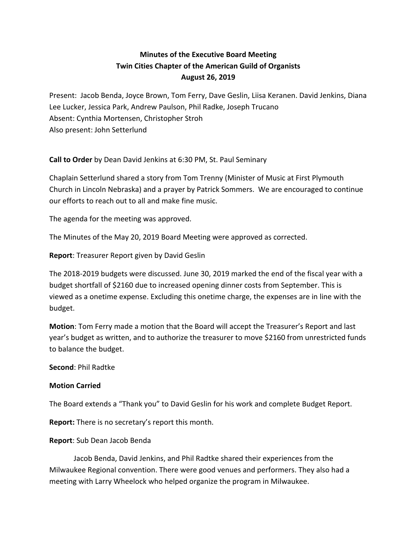## **Minutes of the Executive Board Meeting Twin Cities Chapter of the American Guild of Organists August 26, 2019**

Present: Jacob Benda, Joyce Brown, Tom Ferry, Dave Geslin, Liisa Keranen. David Jenkins, Diana Lee Lucker, Jessica Park, Andrew Paulson, Phil Radke, Joseph Trucano Absent: Cynthia Mortensen, Christopher Stroh Also present: John Setterlund

**Call to Order** by Dean David Jenkins at 6:30 PM, St. Paul Seminary

Chaplain Setterlund shared a story from Tom Trenny (Minister of Music at First Plymouth Church in Lincoln Nebraska) and a prayer by Patrick Sommers. We are encouraged to continue our efforts to reach out to all and make fine music.

The agenda for the meeting was approved.

The Minutes of the May 20, 2019 Board Meeting were approved as corrected.

**Report**: Treasurer Report given by David Geslin

The 2018-2019 budgets were discussed. June 30, 2019 marked the end of the fiscal year with a budget shortfall of \$2160 due to increased opening dinner costs from September. This is viewed as a onetime expense. Excluding this onetime charge, the expenses are in line with the budget.

**Motion**: Tom Ferry made a motion that the Board will accept the Treasurer's Report and last year's budget as written, and to authorize the treasurer to move \$2160 from unrestricted funds to balance the budget.

**Second**: Phil Radtke

## **Motion Carried**

The Board extends a "Thank you" to David Geslin for his work and complete Budget Report.

**Report:** There is no secretary's report this month.

## **Report**: Sub Dean Jacob Benda

Jacob Benda, David Jenkins, and Phil Radtke shared their experiences from the Milwaukee Regional convention. There were good venues and performers. They also had a meeting with Larry Wheelock who helped organize the program in Milwaukee.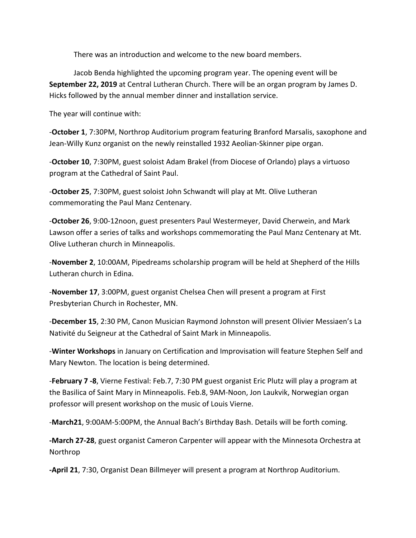There was an introduction and welcome to the new board members.

Jacob Benda highlighted the upcoming program year. The opening event will be **September 22, 2019** at Central Lutheran Church. There will be an organ program by James D. Hicks followed by the annual member dinner and installation service.

The year will continue with:

-**October 1**, 7:30PM, Northrop Auditorium program featuring Branford Marsalis, saxophone and Jean-Willy Kunz organist on the newly reinstalled 1932 Aeolian-Skinner pipe organ.

-**October 10**, 7:30PM, guest soloist Adam Brakel (from Diocese of Orlando) plays a virtuoso program at the Cathedral of Saint Paul.

-**October 25**, 7:30PM, guest soloist John Schwandt will play at Mt. Olive Lutheran commemorating the Paul Manz Centenary.

-**October 26**, 9:00-12noon, guest presenters Paul Westermeyer, David Cherwein, and Mark Lawson offer a series of talks and workshops commemorating the Paul Manz Centenary at Mt. Olive Lutheran church in Minneapolis.

-**November 2**, 10:00AM, Pipedreams scholarship program will be held at Shepherd of the Hills Lutheran church in Edina.

-**November 17**, 3:00PM, guest organist Chelsea Chen will present a program at First Presbyterian Church in Rochester, MN.

-**December 15**, 2:30 PM, Canon Musician Raymond Johnston will present Olivier Messiaen's La Nativité du Seigneur at the Cathedral of Saint Mark in Minneapolis.

-**Winter Workshops** in January on Certification and Improvisation will feature Stephen Self and Mary Newton. The location is being determined.

-**February 7 -8**, Vierne Festival: Feb.7, 7:30 PM guest organist Eric Plutz will play a program at the Basilica of Saint Mary in Minneapolis. Feb.8, 9AM-Noon, Jon Laukvik, Norwegian organ professor will present workshop on the music of Louis Vierne.

-**March21**, 9:00AM-5:00PM, the Annual Bach's Birthday Bash. Details will be forth coming.

**-March 27-28**, guest organist Cameron Carpenter will appear with the Minnesota Orchestra at Northrop

**-April 21**, 7:30, Organist Dean Billmeyer will present a program at Northrop Auditorium.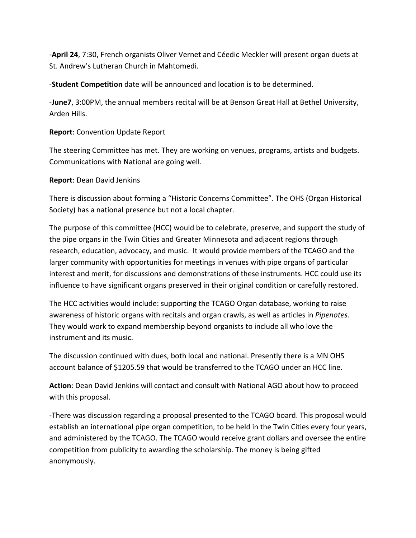-**April 24**, 7:30, French organists Oliver Vernet and Céedic Meckler will present organ duets at St. Andrew's Lutheran Church in Mahtomedi.

-**Student Competition** date will be announced and location is to be determined.

-**June7**, 3:00PM, the annual members recital will be at Benson Great Hall at Bethel University, Arden Hills.

**Report**: Convention Update Report

The steering Committee has met. They are working on venues, programs, artists and budgets. Communications with National are going well.

## **Report**: Dean David Jenkins

There is discussion about forming a "Historic Concerns Committee". The OHS (Organ Historical Society) has a national presence but not a local chapter.

The purpose of this committee (HCC) would be to celebrate, preserve, and support the study of the pipe organs in the Twin Cities and Greater Minnesota and adjacent regions through research, education, advocacy, and music. It would provide members of the TCAGO and the larger community with opportunities for meetings in venues with pipe organs of particular interest and merit, for discussions and demonstrations of these instruments. HCC could use its influence to have significant organs preserved in their original condition or carefully restored.

The HCC activities would include: supporting the TCAGO Organ database, working to raise awareness of historic organs with recitals and organ crawls, as well as articles in *Pipenotes.*  They would work to expand membership beyond organists to include all who love the instrument and its music.

The discussion continued with dues, both local and national. Presently there is a MN OHS account balance of \$1205.59 that would be transferred to the TCAGO under an HCC line.

**Action**: Dean David Jenkins will contact and consult with National AGO about how to proceed with this proposal.

-There was discussion regarding a proposal presented to the TCAGO board. This proposal would establish an international pipe organ competition, to be held in the Twin Cities every four years, and administered by the TCAGO. The TCAGO would receive grant dollars and oversee the entire competition from publicity to awarding the scholarship. The money is being gifted anonymously.